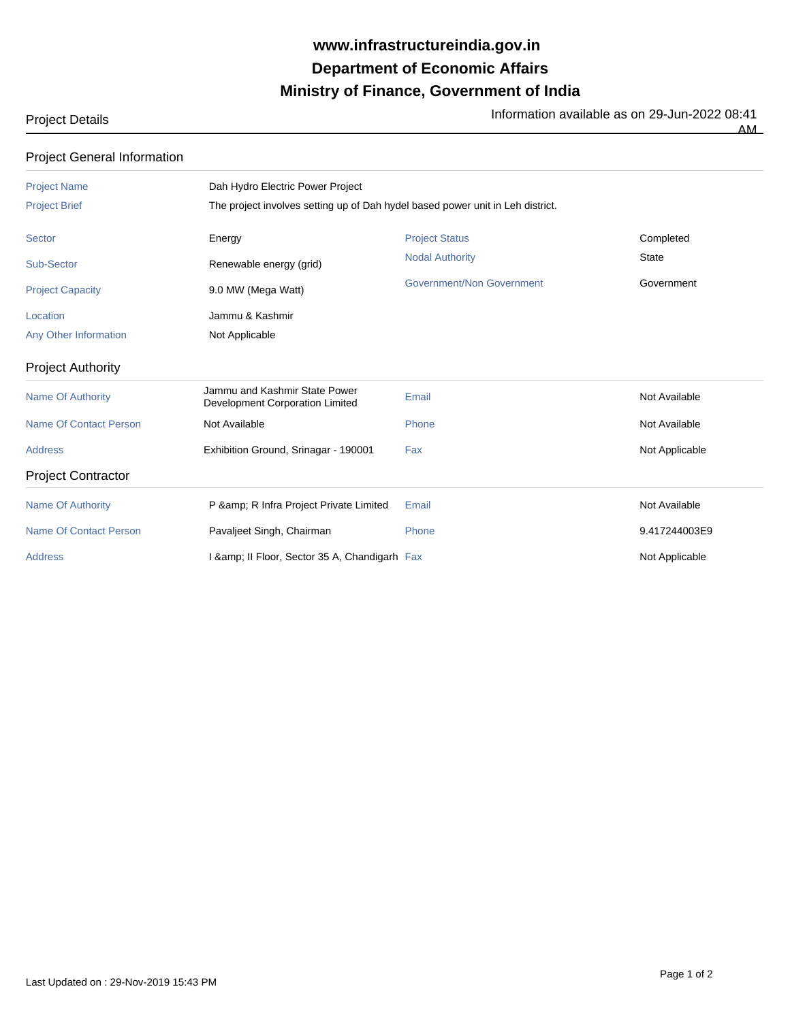## **Ministry of Finance, Government of India Department of Economic Affairs www.infrastructureindia.gov.in**

| $\sim$<br>$\sim$ | ____ |  |
|------------------|------|--|
|                  |      |  |

Project Details Information available as on 29-Jun-2022 08:41 AM

| <b>Project General Information</b> |                                                                  |                                                                                |                |  |  |  |
|------------------------------------|------------------------------------------------------------------|--------------------------------------------------------------------------------|----------------|--|--|--|
| <b>Project Name</b>                | Dah Hydro Electric Power Project                                 |                                                                                |                |  |  |  |
| <b>Project Brief</b>               |                                                                  | The project involves setting up of Dah hydel based power unit in Leh district. |                |  |  |  |
| Sector                             | Energy                                                           | <b>Project Status</b>                                                          | Completed      |  |  |  |
| Sub-Sector                         | Renewable energy (grid)                                          | <b>Nodal Authority</b>                                                         | <b>State</b>   |  |  |  |
| <b>Project Capacity</b>            | 9.0 MW (Mega Watt)                                               | Government/Non Government                                                      | Government     |  |  |  |
| Location                           | Jammu & Kashmir                                                  |                                                                                |                |  |  |  |
| Any Other Information              | Not Applicable                                                   |                                                                                |                |  |  |  |
| <b>Project Authority</b>           |                                                                  |                                                                                |                |  |  |  |
| <b>Name Of Authority</b>           | Jammu and Kashmir State Power<br>Development Corporation Limited | Email                                                                          | Not Available  |  |  |  |
| <b>Name Of Contact Person</b>      | Not Available                                                    | Phone                                                                          | Not Available  |  |  |  |
| <b>Address</b>                     | Exhibition Ground, Srinagar - 190001                             | Fax                                                                            | Not Applicable |  |  |  |
| <b>Project Contractor</b>          |                                                                  |                                                                                |                |  |  |  |
| <b>Name Of Authority</b>           | P & R Infra Project Private Limited                              | Email                                                                          | Not Available  |  |  |  |
| <b>Name Of Contact Person</b>      | Pavaljeet Singh, Chairman                                        | Phone                                                                          | 9.417244003E9  |  |  |  |
| <b>Address</b>                     | I & amp; II Floor, Sector 35 A, Chandigarh Fax                   |                                                                                | Not Applicable |  |  |  |

Last Updated on : 29-Nov-2019 15:43 PM